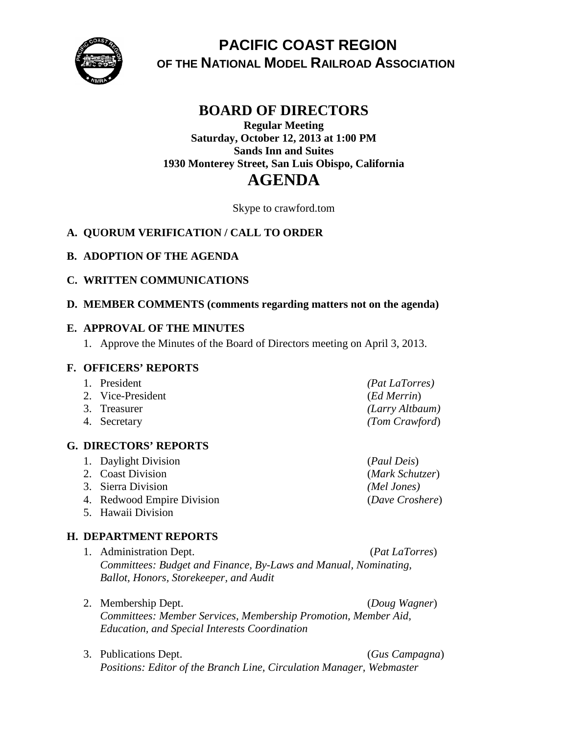

# **PACIFIC COAST REGION OF THE NATIONAL MODEL RAILROAD ASSOCIATION**

# **BOARD OF DIRECTORS**

# **Regular Meeting Saturday, October 12, 2013 at 1:00 PM Sands Inn and Suites 1930 Monterey Street, San Luis Obispo, California AGENDA**

Skype to crawford.tom

# **A. QUORUM VERIFICATION / CALL TO ORDER**

# **B. ADOPTION OF THE AGENDA**

### **C. WRITTEN COMMUNICATIONS**

### **D. MEMBER COMMENTS (comments regarding matters not on the agenda)**

### **E. APPROVAL OF THE MINUTES**

1. Approve the Minutes of the Board of Directors meeting on April 3, 2013.

#### **F. OFFICERS' REPORTS**

| 1. President      | <i>(Pat LaTorres)</i> |
|-------------------|-----------------------|
| 2. Vice-President | (Ed Merrin)           |
| 3. Treasurer      | (Larry Altbaum)       |
| 4. Secretary      | (Tom Crawford)        |

# **G. DIRECTORS' REPORTS**

- 1. Daylight Division (*Paul Deis*) 2. Coast Division (*Mark Schutzer*) 3. Sierra Division *(Mel Jones)* 4. Redwood Empire Division (*Dave Croshere*)
- 
- 5. Hawaii Division

# **H. DEPARTMENT REPORTS**

- 1. Administration Dept. (*Pat LaTorres*) *Committees: Budget and Finance, By-Laws and Manual, Nominating, Ballot, Honors, Storekeeper, and Audit*
- 2. Membership Dept. (*Doug Wagner*) *Committees: Member Services, Membership Promotion, Member Aid, Education, and Special Interests Coordination*
- 3. Publications Dept. (*Gus Campagna*) *Positions: Editor of the Branch Line, Circulation Manager, Webmaster*